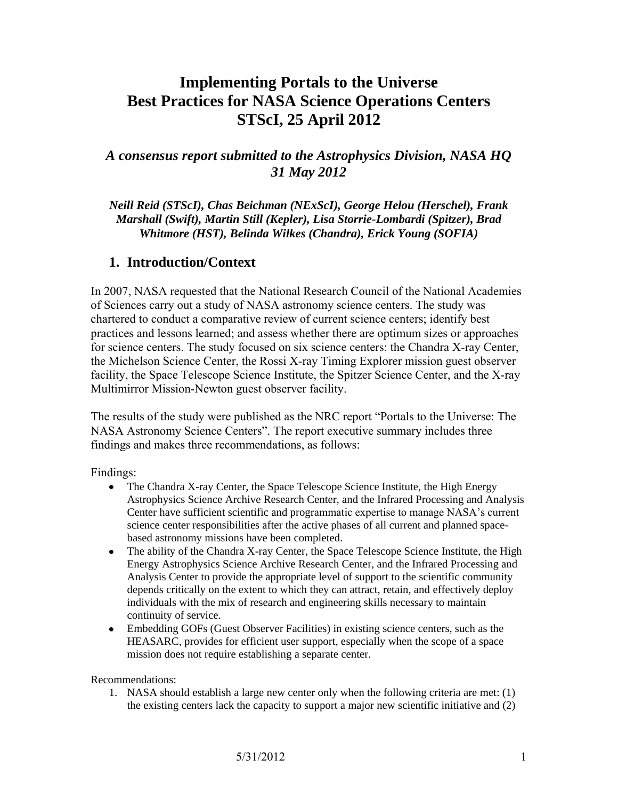# **Implementing Portals to the Universe Best Practices for NASA Science Operations Centers STScI, 25 April 2012**

# *A consensus report submitted to the Astrophysics Division, NASA HQ 31 May 2012*

*Neill Reid (STScI), Chas Beichman (NExScI), George Helou (Herschel), Frank Marshall (Swift), Martin Still (Kepler), Lisa Storrie-Lombardi (Spitzer), Brad Whitmore (HST), Belinda Wilkes (Chandra), Erick Young (SOFIA)* 

# **1. Introduction/Context**

In 2007, NASA requested that the National Research Council of the National Academies of Sciences carry out a study of NASA astronomy science centers. The study was chartered to conduct a comparative review of current science centers; identify best practices and lessons learned; and assess whether there are optimum sizes or approaches for science centers. The study focused on six science centers: the Chandra X-ray Center, the Michelson Science Center, the Rossi X-ray Timing Explorer mission guest observer facility, the Space Telescope Science Institute, the Spitzer Science Center, and the X-ray Multimirror Mission-Newton guest observer facility.

The results of the study were published as the NRC report "Portals to the Universe: The NASA Astronomy Science Centers". The report executive summary includes three findings and makes three recommendations, as follows:

Findings:

- The Chandra X-ray Center, the Space Telescope Science Institute, the High Energy  $\bullet$ Astrophysics Science Archive Research Center, and the Infrared Processing and Analysis Center have sufficient scientific and programmatic expertise to manage NASA's current science center responsibilities after the active phases of all current and planned spacebased astronomy missions have been completed.
- The ability of the Chandra X-ray Center, the Space Telescope Science Institute, the High  $\bullet$ Energy Astrophysics Science Archive Research Center, and the Infrared Processing and Analysis Center to provide the appropriate level of support to the scientific community depends critically on the extent to which they can attract, retain, and effectively deploy individuals with the mix of research and engineering skills necessary to maintain continuity of service.
- Embedding GOFs (Guest Observer Facilities) in existing science centers, such as the HEASARC, provides for efficient user support, especially when the scope of a space mission does not require establishing a separate center.

Recommendations:

1. NASA should establish a large new center only when the following criteria are met: (1) the existing centers lack the capacity to support a major new scientific initiative and (2)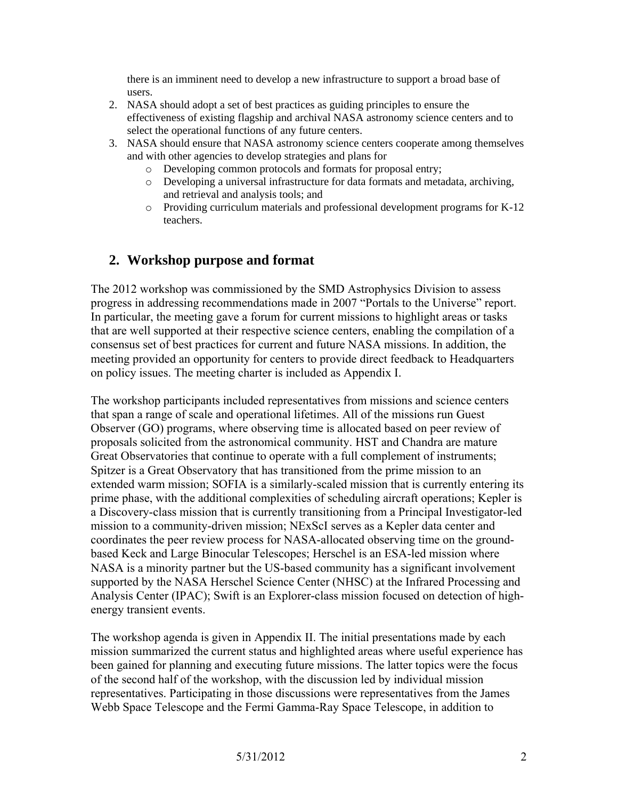there is an imminent need to develop a new infrastructure to support a broad base of users.

- 2. NASA should adopt a set of best practices as guiding principles to ensure the effectiveness of existing flagship and archival NASA astronomy science centers and to select the operational functions of any future centers.
- 3. NASA should ensure that NASA astronomy science centers cooperate among themselves and with other agencies to develop strategies and plans for
	- o Developing common protocols and formats for proposal entry;
	- o Developing a universal infrastructure for data formats and metadata, archiving, and retrieval and analysis tools; and
	- o Providing curriculum materials and professional development programs for K-12 teachers.

# **2. Workshop purpose and format**

The 2012 workshop was commissioned by the SMD Astrophysics Division to assess progress in addressing recommendations made in 2007 "Portals to the Universe" report. In particular, the meeting gave a forum for current missions to highlight areas or tasks that are well supported at their respective science centers, enabling the compilation of a consensus set of best practices for current and future NASA missions. In addition, the meeting provided an opportunity for centers to provide direct feedback to Headquarters on policy issues. The meeting charter is included as Appendix I.

The workshop participants included representatives from missions and science centers that span a range of scale and operational lifetimes. All of the missions run Guest Observer (GO) programs, where observing time is allocated based on peer review of proposals solicited from the astronomical community. HST and Chandra are mature Great Observatories that continue to operate with a full complement of instruments; Spitzer is a Great Observatory that has transitioned from the prime mission to an extended warm mission; SOFIA is a similarly-scaled mission that is currently entering its prime phase, with the additional complexities of scheduling aircraft operations; Kepler is a Discovery-class mission that is currently transitioning from a Principal Investigator-led mission to a community-driven mission; NExScI serves as a Kepler data center and coordinates the peer review process for NASA-allocated observing time on the groundbased Keck and Large Binocular Telescopes; Herschel is an ESA-led mission where NASA is a minority partner but the US-based community has a significant involvement supported by the NASA Herschel Science Center (NHSC) at the Infrared Processing and Analysis Center (IPAC); Swift is an Explorer-class mission focused on detection of highenergy transient events.

The workshop agenda is given in Appendix II. The initial presentations made by each mission summarized the current status and highlighted areas where useful experience has been gained for planning and executing future missions. The latter topics were the focus of the second half of the workshop, with the discussion led by individual mission representatives. Participating in those discussions were representatives from the James Webb Space Telescope and the Fermi Gamma-Ray Space Telescope, in addition to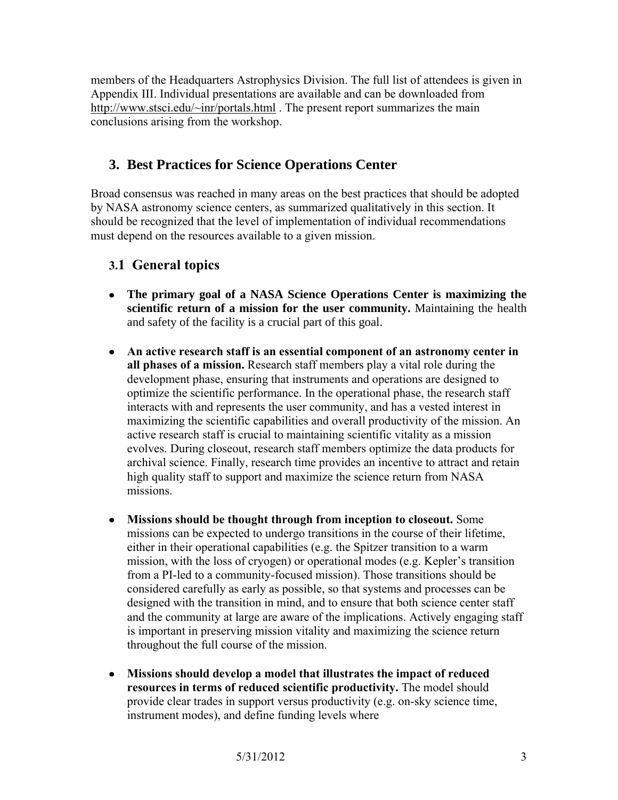members of the Headquarters Astrophysics Division. The full list of attendees is given in Appendix III. Individual presentations are available and can be downloaded from <http://www.stsci.edu/~inr/portals.html> . The present report summarizes the main conclusions arising from the workshop.

# **3. Best Practices for Science Operations Center**

Broad consensus was reached in many areas on the best practices that should be adopted by NASA astronomy science centers, as summarized qualitatively in this section. It should be recognized that the level of implementation of individual recommendations must depend on the resources available to a given mission.

# **3.1 General topics**

- **The primary goal of a NASA Science Operations Center is maximizing the scientific return of a mission for the user community.** Maintaining the health and safety of the facility is a crucial part of this goal.
- **An active research staff is an essential component of an astronomy center in all phases of a mission.** Research staff members play a vital role during the development phase, ensuring that instruments and operations are designed to optimize the scientific performance. In the operational phase, the research staff interacts with and represents the user community, and has a vested interest in maximizing the scientific capabilities and overall productivity of the mission. An active research staff is crucial to maintaining scientific vitality as a mission evolves. During closeout, research staff members optimize the data products for archival science. Finally, research time provides an incentive to attract and retain high quality staff to support and maximize the science return from NASA missions.
- **Missions should be thought through from inception to closeout.** Some missions can be expected to undergo transitions in the course of their lifetime, either in their operational capabilities (e.g. the Spitzer transition to a warm mission, with the loss of cryogen) or operational modes (e.g. Kepler's transition from a PI-led to a community-focused mission). Those transitions should be considered carefully as early as possible, so that systems and processes can be designed with the transition in mind, and to ensure that both science center staff and the community at large are aware of the implications. Actively engaging staff is important in preserving mission vitality and maximizing the science return throughout the full course of the mission.
- **Missions should develop a model that illustrates the impact of reduced resources in terms of reduced scientific productivity.** The model should provide clear trades in support versus productivity (e.g. on-sky science time, instrument modes), and define funding levels where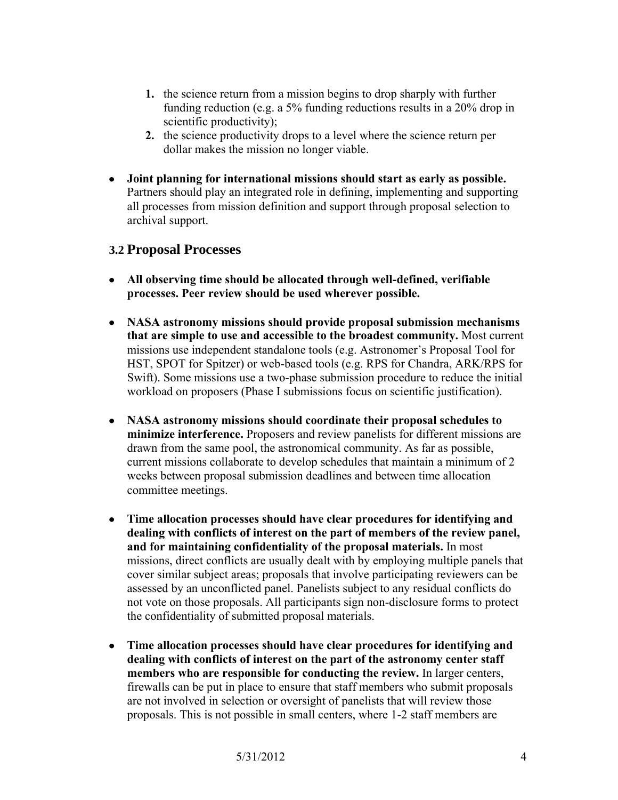- **1.** the science return from a mission begins to drop sharply with further funding reduction (e.g. a 5% funding reductions results in a 20% drop in scientific productivity);
- **2.** the science productivity drops to a level where the science return per dollar makes the mission no longer viable.
- **Joint planning for international missions should start as early as possible.**  Partners should play an integrated role in defining, implementing and supporting all processes from mission definition and support through proposal selection to archival support.

### **3.2 Proposal Processes**

- **All observing time should be allocated through well-defined, verifiable processes. Peer review should be used wherever possible.**
- **NASA astronomy missions should provide proposal submission mechanisms that are simple to use and accessible to the broadest community.** Most current missions use independent standalone tools (e.g. Astronomer's Proposal Tool for HST, SPOT for Spitzer) or web-based tools (e.g. RPS for Chandra, ARK/RPS for Swift). Some missions use a two-phase submission procedure to reduce the initial workload on proposers (Phase I submissions focus on scientific justification).
- **NASA astronomy missions should coordinate their proposal schedules to minimize interference.** Proposers and review panelists for different missions are drawn from the same pool, the astronomical community. As far as possible, current missions collaborate to develop schedules that maintain a minimum of 2 weeks between proposal submission deadlines and between time allocation committee meetings.
- **Time allocation processes should have clear procedures for identifying and dealing with conflicts of interest on the part of members of the review panel, and for maintaining confidentiality of the proposal materials.** In most missions, direct conflicts are usually dealt with by employing multiple panels that cover similar subject areas; proposals that involve participating reviewers can be assessed by an unconflicted panel. Panelists subject to any residual conflicts do not vote on those proposals. All participants sign non-disclosure forms to protect the confidentiality of submitted proposal materials.
- **Time allocation processes should have clear procedures for identifying and dealing with conflicts of interest on the part of the astronomy center staff members who are responsible for conducting the review.** In larger centers, firewalls can be put in place to ensure that staff members who submit proposals are not involved in selection or oversight of panelists that will review those proposals. This is not possible in small centers, where 1-2 staff members are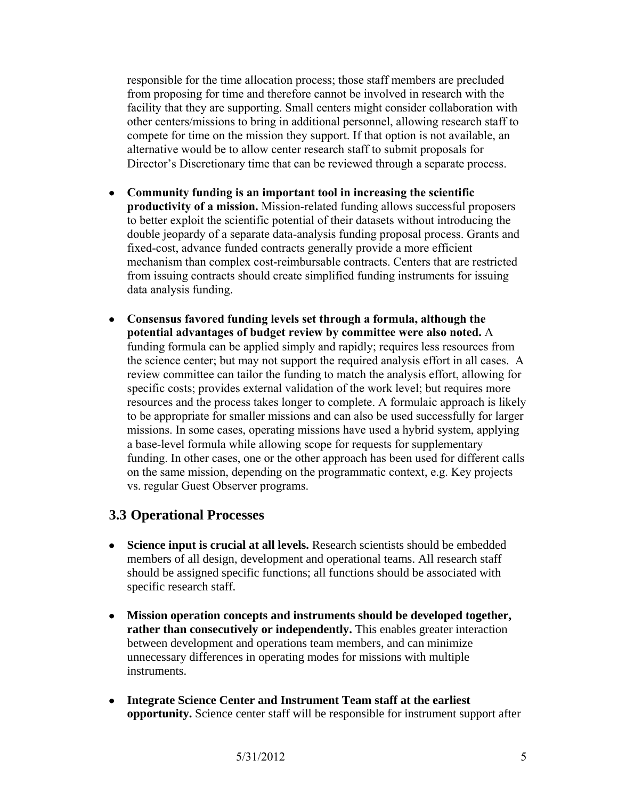responsible for the time allocation process; those staff members are precluded from proposing for time and therefore cannot be involved in research with the facility that they are supporting. Small centers might consider collaboration with other centers/missions to bring in additional personnel, allowing research staff to compete for time on the mission they support. If that option is not available, an alternative would be to allow center research staff to submit proposals for Director's Discretionary time that can be reviewed through a separate process.

- **Community funding is an important tool in increasing the scientific productivity of a mission.** Mission-related funding allows successful proposers to better exploit the scientific potential of their datasets without introducing the double jeopardy of a separate data-analysis funding proposal process. Grants and fixed-cost, advance funded contracts generally provide a more efficient mechanism than complex cost-reimbursable contracts. Centers that are restricted from issuing contracts should create simplified funding instruments for issuing data analysis funding.
- **Consensus favored funding levels set through a formula, although the potential advantages of budget review by committee were also noted.** A funding formula can be applied simply and rapidly; requires less resources from the science center; but may not support the required analysis effort in all cases. A review committee can tailor the funding to match the analysis effort, allowing for specific costs; provides external validation of the work level; but requires more resources and the process takes longer to complete. A formulaic approach is likely to be appropriate for smaller missions and can also be used successfully for larger missions. In some cases, operating missions have used a hybrid system, applying a base-level formula while allowing scope for requests for supplementary funding. In other cases, one or the other approach has been used for different calls on the same mission, depending on the programmatic context, e.g. Key projects vs. regular Guest Observer programs.

### **3.3 Operational Processes**

- **Science input is crucial at all levels.** Research scientists should be embedded members of all design, development and operational teams. All research staff should be assigned specific functions; all functions should be associated with specific research staff.
- **Mission operation concepts and instruments should be developed together, rather than consecutively or independently.** This enables greater interaction between development and operations team members, and can minimize unnecessary differences in operating modes for missions with multiple instruments.
- **Integrate Science Center and Instrument Team staff at the earliest opportunity.** Science center staff will be responsible for instrument support after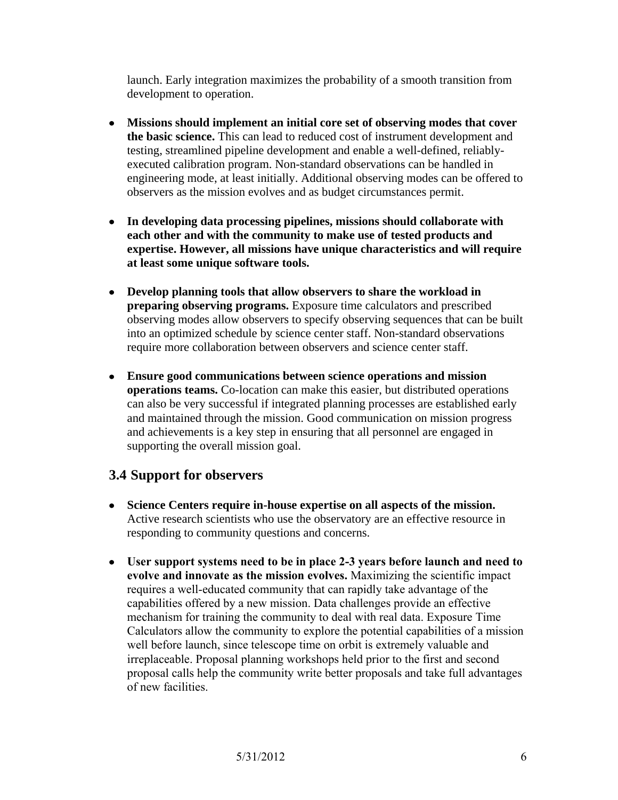launch. Early integration maximizes the probability of a smooth transition from development to operation.

- **Missions should implement an initial core set of observing modes that cover the basic science.** This can lead to reduced cost of instrument development and testing, streamlined pipeline development and enable a well-defined, reliablyexecuted calibration program. Non-standard observations can be handled in engineering mode, at least initially. Additional observing modes can be offered to observers as the mission evolves and as budget circumstances permit.
- **In developing data processing pipelines, missions should collaborate with each other and with the community to make use of tested products and expertise. However, all missions have unique characteristics and will require at least some unique software tools.**
- **Develop planning tools that allow observers to share the workload in preparing observing programs.** Exposure time calculators and prescribed observing modes allow observers to specify observing sequences that can be built into an optimized schedule by science center staff. Non-standard observations require more collaboration between observers and science center staff.
- **Ensure good communications between science operations and mission operations teams.** Co-location can make this easier, but distributed operations can also be very successful if integrated planning processes are established early and maintained through the mission. Good communication on mission progress and achievements is a key step in ensuring that all personnel are engaged in supporting the overall mission goal.

# **3.4 Support for observers**

- **Science Centers require in-house expertise on all aspects of the mission.**  Active research scientists who use the observatory are an effective resource in responding to community questions and concerns.
- **User support systems need to be in place 2-3 years before launch and need to evolve and innovate as the mission evolves.** Maximizing the scientific impact requires a well-educated community that can rapidly take advantage of the capabilities offered by a new mission. Data challenges provide an effective mechanism for training the community to deal with real data. Exposure Time Calculators allow the community to explore the potential capabilities of a mission well before launch, since telescope time on orbit is extremely valuable and irreplaceable. Proposal planning workshops held prior to the first and second proposal calls help the community write better proposals and take full advantages of new facilities.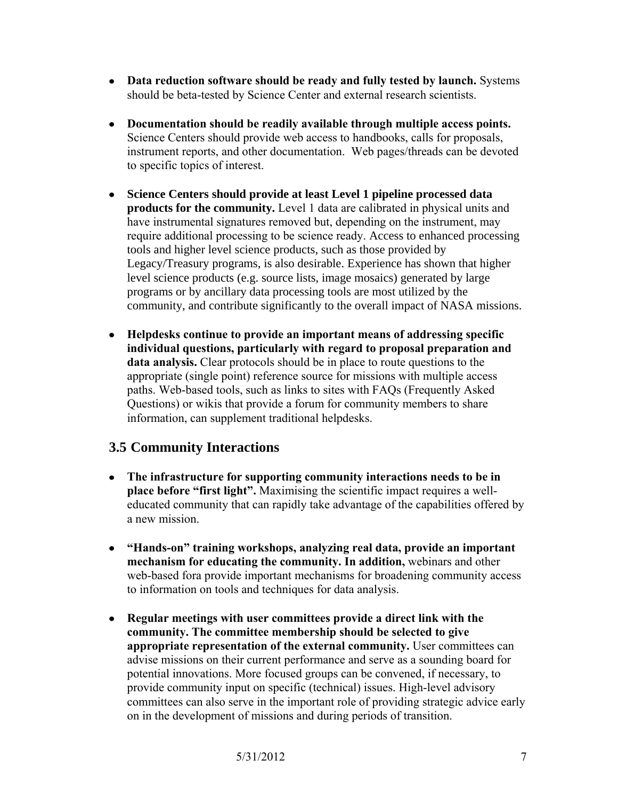- **Data reduction software should be ready and fully tested by launch.** Systems should be beta-tested by Science Center and external research scientists.
- **Documentation should be readily available through multiple access points.** Science Centers should provide web access to handbooks, calls for proposals, instrument reports, and other documentation. Web pages/threads can be devoted to specific topics of interest.
- **Science Centers should provide at least Level 1 pipeline processed data products for the community.** Level 1 data are calibrated in physical units and have instrumental signatures removed but, depending on the instrument, may require additional processing to be science ready. Access to enhanced processing tools and higher level science products, such as those provided by Legacy/Treasury programs, is also desirable. Experience has shown that higher level science products (e.g. source lists, image mosaics) generated by large programs or by ancillary data processing tools are most utilized by the community, and contribute significantly to the overall impact of NASA missions.
- **Helpdesks continue to provide an important means of addressing specific individual questions, particularly with regard to proposal preparation and data analysis.** Clear protocols should be in place to route questions to the appropriate (single point) reference source for missions with multiple access paths. Web-based tools, such as links to sites with FAQs (Frequently Asked Questions) or wikis that provide a forum for community members to share information, can supplement traditional helpdesks.

# **3.5 Community Interactions**

- **The infrastructure for supporting community interactions needs to be in place before "first light".** Maximising the scientific impact requires a welleducated community that can rapidly take advantage of the capabilities offered by a new mission.
- **"Hands-on" training workshops, analyzing real data, provide an important mechanism for educating the community. In addition,** webinars and other web-based fora provide important mechanisms for broadening community access to information on tools and techniques for data analysis.
- **Regular meetings with user committees provide a direct link with the community. The committee membership should be selected to give appropriate representation of the external community.** User committees can advise missions on their current performance and serve as a sounding board for potential innovations. More focused groups can be convened, if necessary, to provide community input on specific (technical) issues. High-level advisory committees can also serve in the important role of providing strategic advice early on in the development of missions and during periods of transition.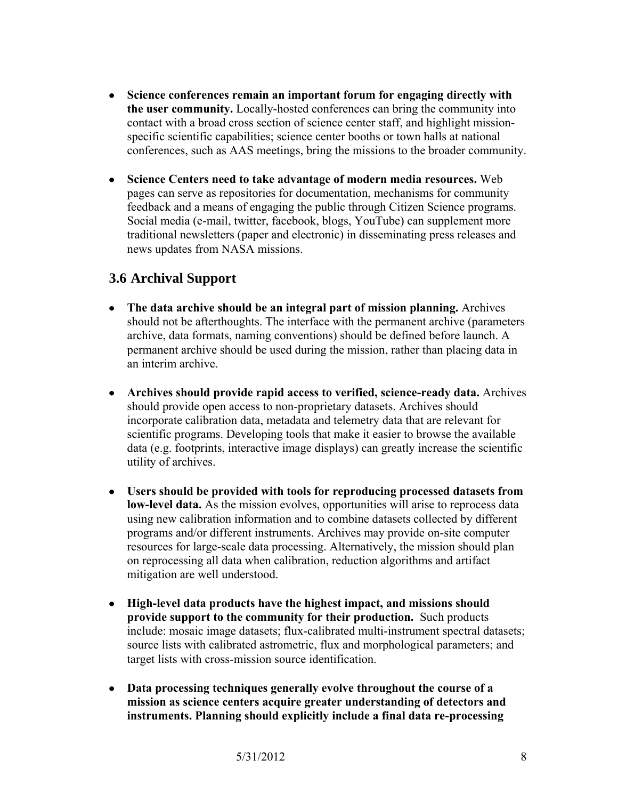- **Science conferences remain an important forum for engaging directly with the user community.** Locally-hosted conferences can bring the community into contact with a broad cross section of science center staff, and highlight missionspecific scientific capabilities; science center booths or town halls at national conferences, such as AAS meetings, bring the missions to the broader community.
- **Science Centers need to take advantage of modern media resources.** Web pages can serve as repositories for documentation, mechanisms for community feedback and a means of engaging the public through Citizen Science programs. Social media (e-mail, twitter, facebook, blogs, YouTube) can supplement more traditional newsletters (paper and electronic) in disseminating press releases and news updates from NASA missions.

# **3.6 Archival Support**

- **The data archive should be an integral part of mission planning.** Archives should not be afterthoughts. The interface with the permanent archive (parameters archive, data formats, naming conventions) should be defined before launch. A permanent archive should be used during the mission, rather than placing data in an interim archive.
- **Archives should provide rapid access to verified, science-ready data.** Archives should provide open access to non-proprietary datasets. Archives should incorporate calibration data, metadata and telemetry data that are relevant for scientific programs. Developing tools that make it easier to browse the available data (e.g. footprints, interactive image displays) can greatly increase the scientific utility of archives.
- **Users should be provided with tools for reproducing processed datasets from low-level data.** As the mission evolves, opportunities will arise to reprocess data using new calibration information and to combine datasets collected by different programs and/or different instruments. Archives may provide on-site computer resources for large-scale data processing. Alternatively, the mission should plan on reprocessing all data when calibration, reduction algorithms and artifact mitigation are well understood.
- **High-level data products have the highest impact, and missions should provide support to the community for their production.** Such products include: mosaic image datasets; flux-calibrated multi-instrument spectral datasets; source lists with calibrated astrometric, flux and morphological parameters; and target lists with cross-mission source identification.
- **Data processing techniques generally evolve throughout the course of a mission as science centers acquire greater understanding of detectors and instruments. Planning should explicitly include a final data re-processing**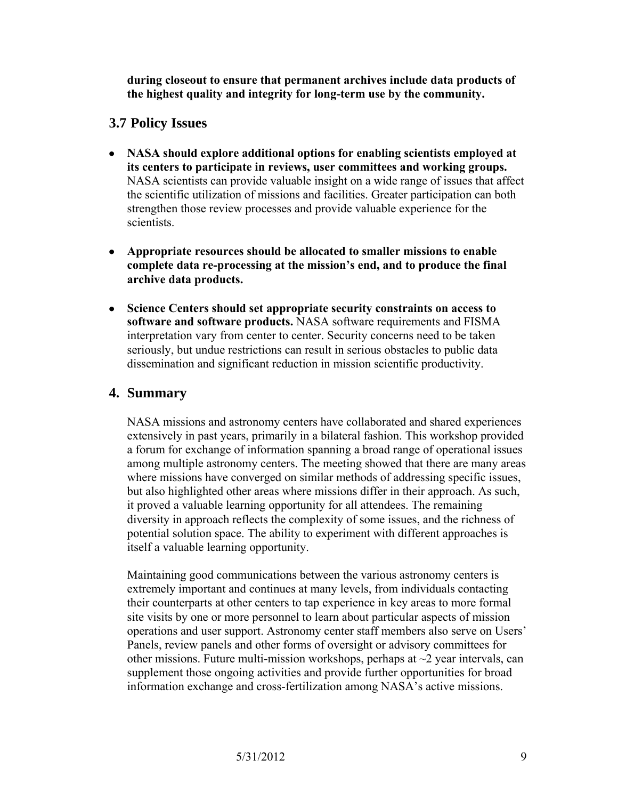**during closeout to ensure that permanent archives include data products of the highest quality and integrity for long-term use by the community.**

### **3.7 Policy Issues**

- **NASA should explore additional options for enabling scientists employed at its centers to participate in reviews, user committees and working groups.**  NASA scientists can provide valuable insight on a wide range of issues that affect the scientific utilization of missions and facilities. Greater participation can both strengthen those review processes and provide valuable experience for the scientists.
- **Appropriate resources should be allocated to smaller missions to enable complete data re-processing at the mission's end, and to produce the final archive data products.**
- **Science Centers should set appropriate security constraints on access to software and software products.** NASA software requirements and FISMA interpretation vary from center to center. Security concerns need to be taken seriously, but undue restrictions can result in serious obstacles to public data dissemination and significant reduction in mission scientific productivity.

# **4. Summary**

NASA missions and astronomy centers have collaborated and shared experiences extensively in past years, primarily in a bilateral fashion. This workshop provided a forum for exchange of information spanning a broad range of operational issues among multiple astronomy centers. The meeting showed that there are many areas where missions have converged on similar methods of addressing specific issues, but also highlighted other areas where missions differ in their approach. As such, it proved a valuable learning opportunity for all attendees. The remaining diversity in approach reflects the complexity of some issues, and the richness of potential solution space. The ability to experiment with different approaches is itself a valuable learning opportunity.

Maintaining good communications between the various astronomy centers is extremely important and continues at many levels, from individuals contacting their counterparts at other centers to tap experience in key areas to more formal site visits by one or more personnel to learn about particular aspects of mission operations and user support. Astronomy center staff members also serve on Users' Panels, review panels and other forms of oversight or advisory committees for other missions. Future multi-mission workshops, perhaps at  $\sim$ 2 year intervals, can supplement those ongoing activities and provide further opportunities for broad information exchange and cross-fertilization among NASA's active missions.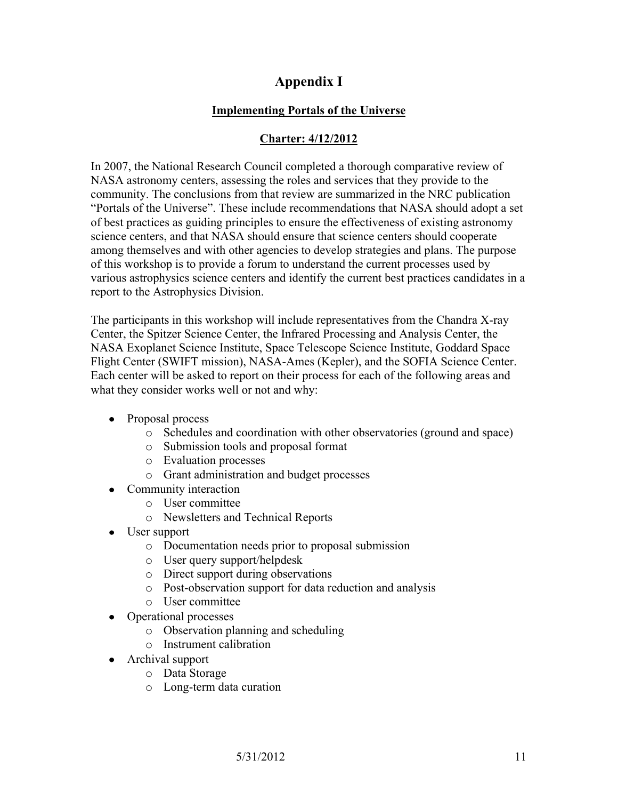# **Appendix I**

### **Implementing Portals of the Universe**

## **Charter: 4/12/2012**

In 2007, the National Research Council completed a thorough comparative review of NASA astronomy centers, assessing the roles and services that they provide to the community. The conclusions from that review are summarized in the NRC publication "Portals of the Universe". These include recommendations that NASA should adopt a set of best practices as guiding principles to ensure the effectiveness of existing astronomy science centers, and that NASA should ensure that science centers should cooperate among themselves and with other agencies to develop strategies and plans. The purpose of this workshop is to provide a forum to understand the current processes used by various astrophysics science centers and identify the current best practices candidates in a report to the Astrophysics Division.

The participants in this workshop will include representatives from the Chandra X-ray Center, the Spitzer Science Center, the Infrared Processing and Analysis Center, the NASA Exoplanet Science Institute, Space Telescope Science Institute, Goddard Space Flight Center (SWIFT mission), NASA-Ames (Kepler), and the SOFIA Science Center. Each center will be asked to report on their process for each of the following areas and what they consider works well or not and why:

- Proposal process
	- o Schedules and coordination with other observatories (ground and space)
	- o Submission tools and proposal format
	- o Evaluation processes
	- o Grant administration and budget processes
- Community interaction
	- o User committee
	- o Newsletters and Technical Reports
- User support
	- o Documentation needs prior to proposal submission
	- o User query support/helpdesk
	- o Direct support during observations
	- o Post-observation support for data reduction and analysis
	- o User committee
- Operational processes
	- o Observation planning and scheduling
	- o Instrument calibration
- Archival support
	- o Data Storage
	- o Long-term data curation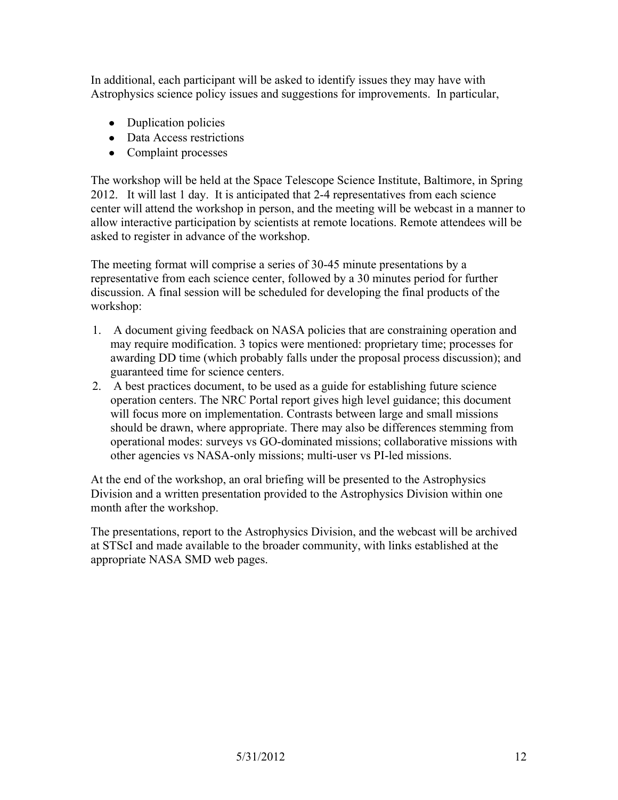In additional, each participant will be asked to identify issues they may have with Astrophysics science policy issues and suggestions for improvements. In particular,

- Duplication policies
- Data Access restrictions
- Complaint processes

The workshop will be held at the Space Telescope Science Institute, Baltimore, in Spring 2012. It will last 1 day. It is anticipated that 2-4 representatives from each science center will attend the workshop in person, and the meeting will be webcast in a manner to allow interactive participation by scientists at remote locations. Remote attendees will be asked to register in advance of the workshop.

The meeting format will comprise a series of 30-45 minute presentations by a representative from each science center, followed by a 30 minutes period for further discussion. A final session will be scheduled for developing the final products of the workshop:

- 1. A document giving feedback on NASA policies that are constraining operation and may require modification. 3 topics were mentioned: proprietary time; processes for awarding DD time (which probably falls under the proposal process discussion); and guaranteed time for science centers.
- 2. A best practices document, to be used as a guide for establishing future science operation centers. The NRC Portal report gives high level guidance; this document will focus more on implementation. Contrasts between large and small missions should be drawn, where appropriate. There may also be differences stemming from operational modes: surveys vs GO-dominated missions; collaborative missions with other agencies vs NASA-only missions; multi-user vs PI-led missions.

At the end of the workshop, an oral briefing will be presented to the Astrophysics Division and a written presentation provided to the Astrophysics Division within one month after the workshop.

The presentations, report to the Astrophysics Division, and the webcast will be archived at STScI and made available to the broader community, with links established at the appropriate NASA SMD web pages.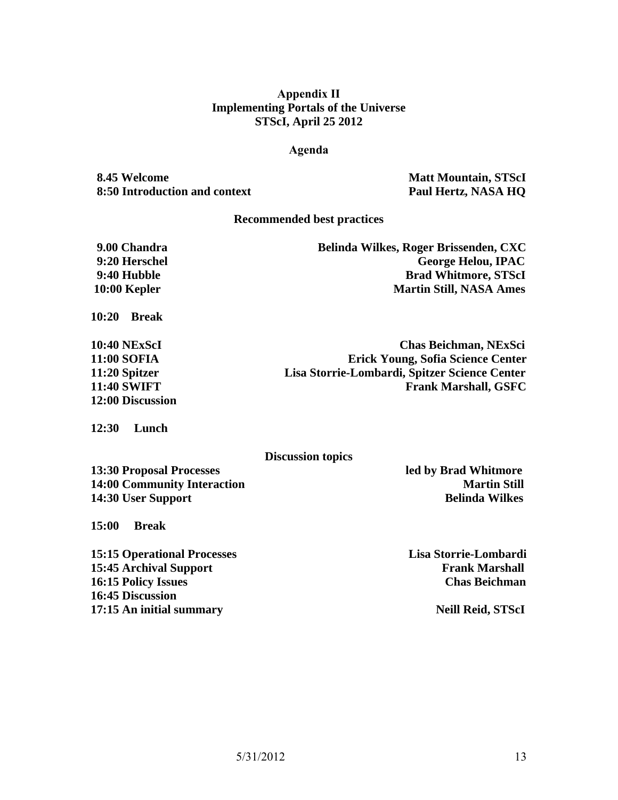### **Appendix II Implementing Portals of the Universe STScI, April 25 2012**

### **Agenda**

**8.45 Welcome Matt Mountain, STScI 8:50 Introduction and context Paul Hertz, NASA HQ**

#### **Recommended best practices**

| Belinda Wilkes, Roger Brissenden, CXC |
|---------------------------------------|
| <b>George Helou, IPAC</b>             |
| <b>Brad Whitmore, STScI</b>           |
| <b>Martin Still, NASA Ames</b>        |
|                                       |

**10:20 Break**

| <b>10:40 NExScI</b> | Chas Beichman, NExSci                         |
|---------------------|-----------------------------------------------|
| <b>11:00 SOFIA</b>  | <b>Erick Young, Sofia Science Center</b>      |
| 11:20 Spitzer       | Lisa Storrie-Lombardi, Spitzer Science Center |
| <b>11:40 SWIFT</b>  | <b>Frank Marshall, GSFC</b>                   |
| 12:00 Discussion    |                                               |

**12:30 Lunch**

#### **Discussion topics**

**13:30 Proposal Processes led by Brad Whitmore 14:00 Community Interaction Martin Still 14:30 User Support Belinda Wilkes** 

**15:00 Break**

**15:15 Operational Processes Lisa Storrie-Lombardi 15:45 Archival Support Frank Marshall 16:15 Policy Issues Chas Beichman 16:45 Discussion 17:15 An initial summary Neill Reid, STScI**